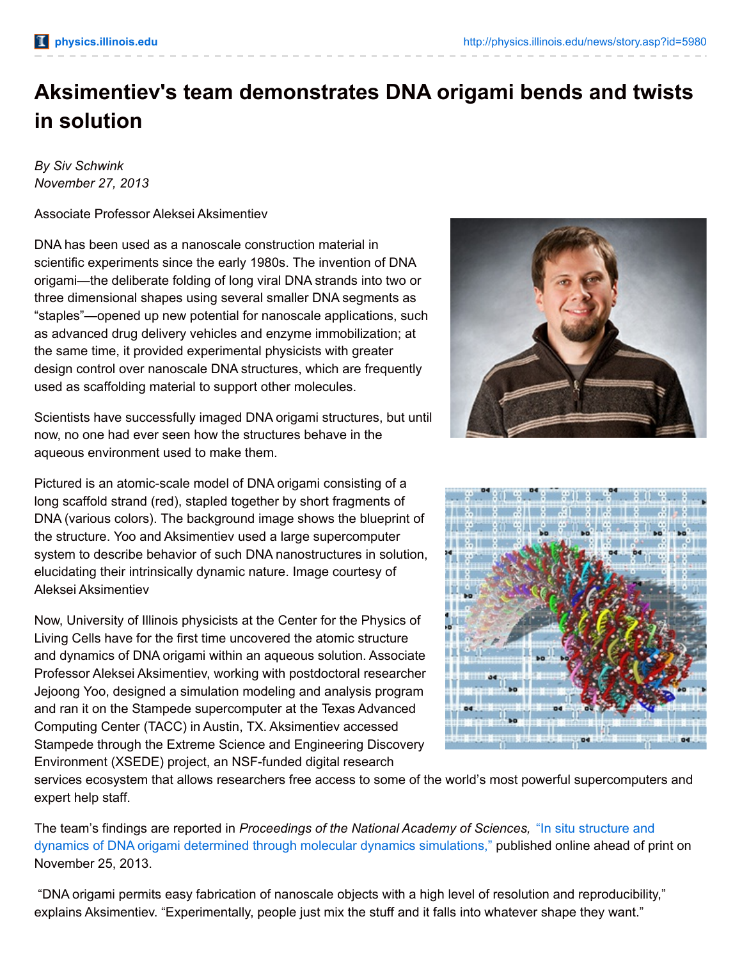## **Aksimentiev's team demonstrates DNA origami bends and twists in solution**

*By Siv Schwink November 27, 2013*

Associate Professor Aleksei Aksimentiev

DNA has been used as a nanoscale construction material in scientific experiments since the early 1980s. The invention of DNA origami—the deliberate folding of long viral DNA strands into two or three dimensional shapes using several smaller DNA segments as "staples"—opened up new potential for nanoscale applications, such as advanced drug delivery vehicles and enzyme immobilization; at the same time, it provided experimental physicists with greater design control over nanoscale DNA structures, which are frequently used as scaffolding material to support other molecules.

Scientists have successfully imaged DNA origami structures, but until now, no one had ever seen how the structures behave in the aqueous environment used to make them.

Pictured is an atomic-scale model of DNA origami consisting of a long scaffold strand (red), stapled together by short fragments of DNA (various colors). The background image shows the blueprint of the structure. Yoo and Aksimentiev used a large supercomputer system to describe behavior of such DNA nanostructures in solution, elucidating their intrinsically dynamic nature. Image courtesy of Aleksei Aksimentiev

Now, University of Illinois physicists at the Center for the Physics of Living Cells have for the first time uncovered the atomic structure and dynamics of DNA origami within an aqueous solution. Associate Professor Aleksei Aksimentiev, working with postdoctoral researcher Jejoong Yoo, designed a simulation modeling and analysis program and ran it on the Stampede supercomputer at the Texas Advanced Computing Center (TACC) in Austin, TX. Aksimentiev accessed Stampede through the Extreme Science and Engineering Discovery Environment (XSEDE) project, an NSF-funded digital research





services ecosystem that allows researchers free access to some of the world's most powerful supercomputers and expert help staff.

The team's findings are reported in *[Proceedings](mailto:http://www.pnas.org/content/early/2013/11/22/1316521110.full.pdf+html) of the National Academy of Sciences,* "In situ structure and dynamics of DNA origami determined through molecular dynamics simulations," published online ahead of print on November 25, 2013.

"DNA origami permits easy fabrication of nanoscale objects with a high level of resolution and reproducibility," explains Aksimentiev. "Experimentally, people just mix the stuff and it falls into whatever shape they want."